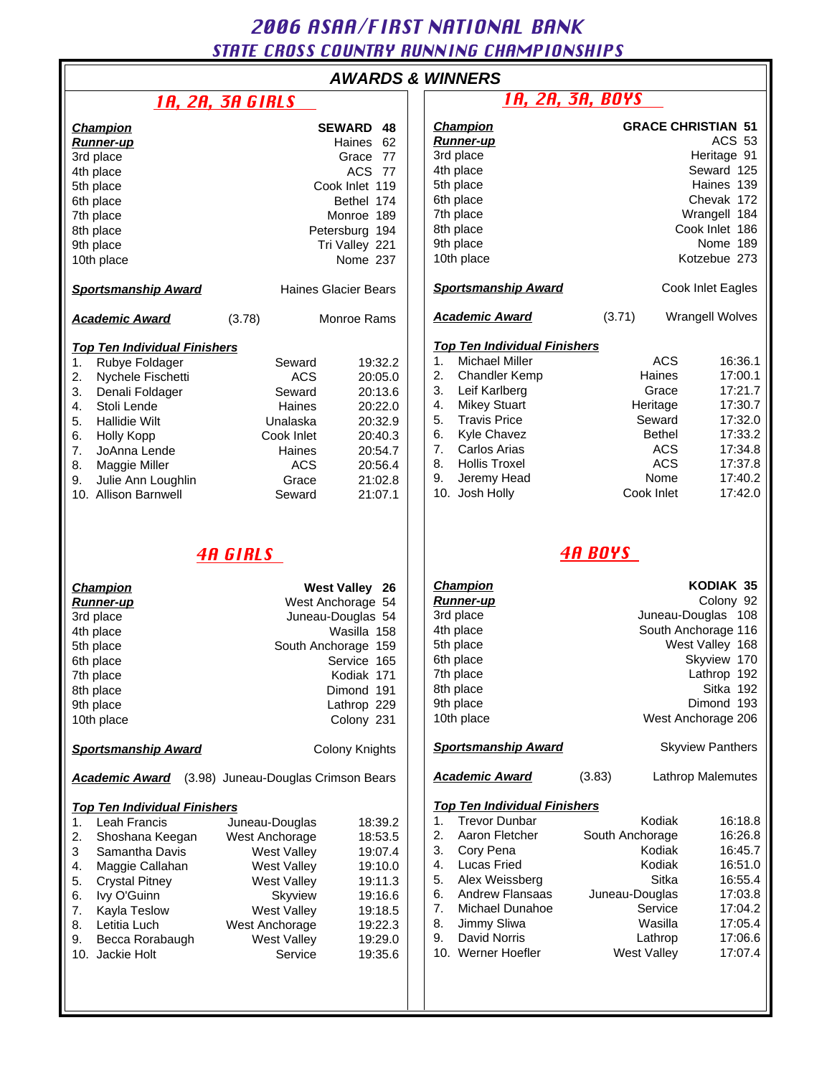# 2006 ASAA/FIRST NATIONAL BANK STATE CROSS COUNTRY RUNNING CHAMPIONSHIPS

| <b>AWARDS &amp; WINNERS</b> |  |  |
|-----------------------------|--|--|
|-----------------------------|--|--|

|                                                                                                                                                                                                                                                                                         | <u>ін, 211, эн Uinls</u>                                                                                                                                                            |                                                                                                            |  |
|-----------------------------------------------------------------------------------------------------------------------------------------------------------------------------------------------------------------------------------------------------------------------------------------|-------------------------------------------------------------------------------------------------------------------------------------------------------------------------------------|------------------------------------------------------------------------------------------------------------|--|
| <u>Champion</u><br>Runner-up<br>3rd place<br>4th place<br>5th place<br>6th place<br>7th place<br>8th place<br>9th place<br>10th place<br><b>Sportsmanship Award</b>                                                                                                                     | <b>SEWARD 48</b><br>Haines<br>62<br>Grace 77<br>ACS 77<br>Cook Inlet 119<br>Bethel 174<br>Monroe 189<br>Petersburg 194<br>Tri Valley 221<br>Nome 237<br><b>Haines Glacier Bears</b> |                                                                                                            |  |
| <b>Academic Award</b>                                                                                                                                                                                                                                                                   | (3.78)                                                                                                                                                                              | Monroe Rams                                                                                                |  |
| <u>Top Ten Individual Finishers</u><br>Rubye Foldager<br>1.<br>2.<br>Nychele Fischetti<br>3.<br>Denali Foldager<br>4.<br>Stoli Lende<br>5.<br><b>Hallidie Wilt</b><br>6.<br>Holly Kopp<br>7.<br>JoAnna Lende<br>8.<br>Maggie Miller<br>9.<br>Julie Ann Loughlin<br>10. Allison Barnwell | Seward<br>ACS<br>Seward<br>Haines<br>Unalaska<br>Cook Inlet<br>Haines<br>ACS.<br>Grace<br>Seward                                                                                    | 19:32.2<br>20:05.0<br>20:13.6<br>20:22.0<br>20:32.9<br>20:40.3<br>20:54.7<br>20:56.4<br>21:02.8<br>21:07.1 |  |
|                                                                                                                                                                                                                                                                                         | <i><b>4A GIRLS</b></i>                                                                                                                                                              |                                                                                                            |  |
| <u>Champion</u><br><b>Runner-up</b><br>3rd place<br>4th place<br>5th place<br>6th place<br>7th place<br>8th place<br>9th place<br>10th place                                                                                                                                            | <b>West Valley</b><br>26<br>West Anchorage 54<br>Juneau-Douglas 54<br>Wasilla 158<br>South Anchorage 159<br>Service 165<br>Kodiak 171<br>Dimond 191<br>Lathrop 229<br>Colony 231    |                                                                                                            |  |
| <b>Sportsmanship Award</b>                                                                                                                                                                                                                                                              |                                                                                                                                                                                     | Colony Knights                                                                                             |  |
| <b>Academic Award</b>                                                                                                                                                                                                                                                                   | (3.98) Juneau-Douglas Crimson Bears                                                                                                                                                 |                                                                                                            |  |
| <b>Top Ten Individual Finishers</b><br>Leah Francis<br>1.<br>2.<br>Shoshana Keegan<br>3<br>Samantha Davis<br>Maggie Callahan<br>4.<br>5.<br><b>Crystal Pitney</b><br>6.<br>Ivy O'Guinn<br>7.<br>Kayla Teslow                                                                            | Juneau-Douglas<br>West Anchorage<br><b>West Valley</b><br>West Valley<br>West Valley<br>Skyview<br>West Valley                                                                      | 18:39.2<br>18:53.5<br>19:07.4<br>19:10.0<br>19:11.3<br>19:16.6<br>19:18.5                                  |  |

8. Letitia Luch West Anchorage 19:22.3<br>
9. Becca Rorabaugh West Valley 19:29.0 9. Becca Rorabaugh West Valley 19:29.0<br>10. Jackie Holt Carel Construct Construct 19:35.6

10. Jackie Holt Service

| <b>AWARDS &amp; WINNERS</b>                                                               |                                                                                                                              |                                                                                                                                                        |  |                                                                                                                                                                                                                                                                                                          |                                                                                                                                                                       |                                                                                                                        |                                                                                                            |  |  |  |
|-------------------------------------------------------------------------------------------|------------------------------------------------------------------------------------------------------------------------------|--------------------------------------------------------------------------------------------------------------------------------------------------------|--|----------------------------------------------------------------------------------------------------------------------------------------------------------------------------------------------------------------------------------------------------------------------------------------------------------|-----------------------------------------------------------------------------------------------------------------------------------------------------------------------|------------------------------------------------------------------------------------------------------------------------|------------------------------------------------------------------------------------------------------------|--|--|--|
|                                                                                           | <u>1A, 2A, 3A GIRLS</u>                                                                                                      |                                                                                                                                                        |  | <u>1A, 2A, 3A, BOYS</u>                                                                                                                                                                                                                                                                                  |                                                                                                                                                                       |                                                                                                                        |                                                                                                            |  |  |  |
|                                                                                           |                                                                                                                              | <b>SEWARD</b><br>48<br>Haines 62<br>Grace 77<br>ACS 77<br>Cook Inlet 119<br>Bethel 174<br>Monroe 189<br>Petersburg 194<br>Tri Valley 221<br>Nome 237   |  | <b>Champion</b><br><u>Runner-up</u><br>3rd place<br>4th place<br>5th place<br>6th place<br>7th place<br>8th place<br>9th place<br>10th place                                                                                                                                                             | <b>GRACE CHRISTIAN 51</b><br><b>ACS 53</b><br>Heritage 91<br>Seward 125<br>Haines 139<br>Chevak 172<br>Wrangell 184<br>Cook Inlet 186<br>Nome 189<br>Kotzebue 273     |                                                                                                                        |                                                                                                            |  |  |  |
| o Award                                                                                   |                                                                                                                              | <b>Haines Glacier Bears</b>                                                                                                                            |  | <b>Sportsmanship Award</b>                                                                                                                                                                                                                                                                               | Cook Inlet Eagles                                                                                                                                                     |                                                                                                                        |                                                                                                            |  |  |  |
| <u>ırd</u>                                                                                | (3.78)                                                                                                                       | Monroe Rams                                                                                                                                            |  | <b>Academic Award</b>                                                                                                                                                                                                                                                                                    | (3.71)<br>Wrangell Wolves                                                                                                                                             |                                                                                                                        |                                                                                                            |  |  |  |
| <u>dual Finishers</u><br>lager<br>schetti<br>lager<br>t<br>nde<br>ler<br>oughlin<br>าwell | Seward<br><b>ACS</b><br>Seward<br>Haines<br>Unalaska<br>Cook Inlet<br>Haines<br><b>ACS</b><br>Grace<br>Seward                | 19:32.2<br>20:05.0<br>20:13.6<br>20:22.0<br>20:32.9<br>20:40.3<br>20:54.7<br>20:56.4<br>21:02.8<br>21:07.1                                             |  | <b>Top Ten Individual Finishers</b><br><b>Michael Miller</b><br>1.<br>2.<br><b>Chandler Kemp</b><br>3.<br>Leif Karlberg<br>4.<br><b>Mikey Stuart</b><br><b>Travis Price</b><br>5.<br>6.<br><b>Kyle Chavez</b><br>Carlos Arias<br>7.<br><b>Hollis Troxel</b><br>8.<br>9.<br>Jeremy Head<br>10. Josh Holly |                                                                                                                                                                       | <b>ACS</b><br>Haines<br>Grace<br>Heritage<br>Seward<br><b>Bethel</b><br><b>ACS</b><br><b>ACS</b><br>Nome<br>Cook Inlet | 16:36.1<br>17:00.1<br>17:21.7<br>17:30.7<br>17:32.0<br>17:33.2<br>17:34.8<br>17:37.8<br>17:40.2<br>17:42.0 |  |  |  |
|                                                                                           | <b>4A GIRLS</b>                                                                                                              |                                                                                                                                                        |  | <b>4A BOYS</b>                                                                                                                                                                                                                                                                                           |                                                                                                                                                                       |                                                                                                                        |                                                                                                            |  |  |  |
|                                                                                           | South Anchorage 159                                                                                                          | <b>West Valley 26</b><br>West Anchorage 54<br>Juneau-Douglas 54<br>Wasilla 158<br>Service 165<br>Kodiak 171<br>Dimond 191<br>Lathrop 229<br>Colony 231 |  | <u>Champion</u><br><u>Runner-up</u><br>3rd place<br>4th place<br>5th place<br>6th place<br>7th place<br>8th place<br>9th place<br>10th place                                                                                                                                                             | KODIAK 35<br>Colony 92<br>Juneau-Douglas 108<br>South Anchorage 116<br>West Valley 168<br>Skyview 170<br>Lathrop 192<br>Sitka 192<br>Dimond 193<br>West Anchorage 206 |                                                                                                                        |                                                                                                            |  |  |  |
| o Award                                                                                   |                                                                                                                              | <b>Colony Knights</b>                                                                                                                                  |  | <b>Sportsmanship Award</b>                                                                                                                                                                                                                                                                               | <b>Skyview Panthers</b>                                                                                                                                               |                                                                                                                        |                                                                                                            |  |  |  |
| ırd                                                                                       | (3.98) Juneau-Douglas Crimson Bears                                                                                          |                                                                                                                                                        |  | <b>Academic Award</b>                                                                                                                                                                                                                                                                                    | (3.83)<br>Lathrop Malemutes                                                                                                                                           |                                                                                                                        |                                                                                                            |  |  |  |
| <u>dual Finishers</u><br>:is<br>Keegan<br>Davis<br>llahan<br>۱ey<br>ЭW                    | Juneau-Douglas<br>West Anchorage<br><b>West Valley</b><br>West Valley<br><b>West Valley</b><br>Skyview<br><b>West Valley</b> | 18:39.2<br>18:53.5<br>19:07.4<br>19:10.0<br>19:11.3<br>19:16.6<br>19:18.5                                                                              |  | <b>Top Ten Individual Finishers</b><br><b>Trevor Dunbar</b><br>1.<br>2.<br>Aaron Fletcher<br>3.<br>Cory Pena<br>4.<br><b>Lucas Fried</b><br>5.<br>Alex Weissberg<br>Andrew Flansaas<br>6.<br>7.<br>Michael Dunahoe                                                                                       | South Anchorage<br>Juneau-Douglas                                                                                                                                     | Kodiak<br>Kodiak<br>Kodiak<br>Sitka<br>Service                                                                         | 16:18.8<br>16:26.8<br>16:45.7<br>16:51.0<br>16:55.4<br>17:03.8<br>17:04.2                                  |  |  |  |

8. Jimmy Sliwa **Wasilla** 17:05.4 9. David Norris Lathrop 17:06.6 10. Werner Hoefler West Valley 17:07.4